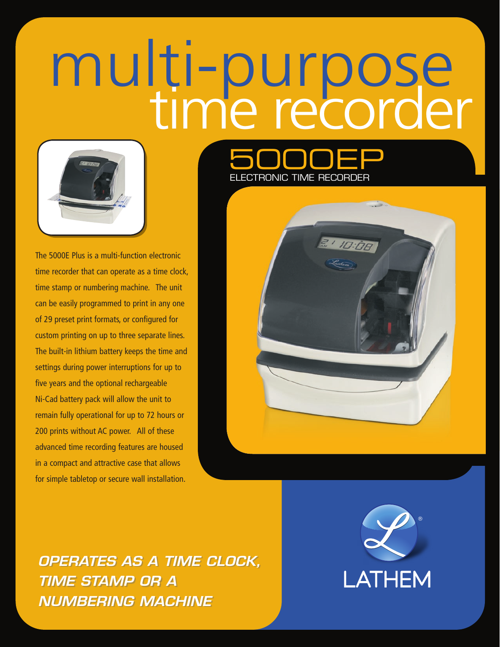# multi-purpose<br>time recorder



The 5000E Plus is a multi-function electronic time recorder that can operate as a time clock, time stamp or numbering machine. The unit can be easily programmed to print in any one of 29 preset print formats, or configured for custom printing on up to three separate lines. The built-in lithium battery keeps the time and settings during power interruptions for up to five years and the optional rechargeable Ni-Cad battery pack will allow the unit to remain fully operational for up to 72 hours or 200 prints without AC power. All of these advanced time recording features are housed in a compact and attractive case that allows for simple tabletop or secure wall installation.





*OPERATES AS A TIME CLOCK, OPERATES AS A TIME CLOCK, TIME STAMP OR A TIME STAMP OR A NUMBERING MACHINE NUMBERING MACHINE*